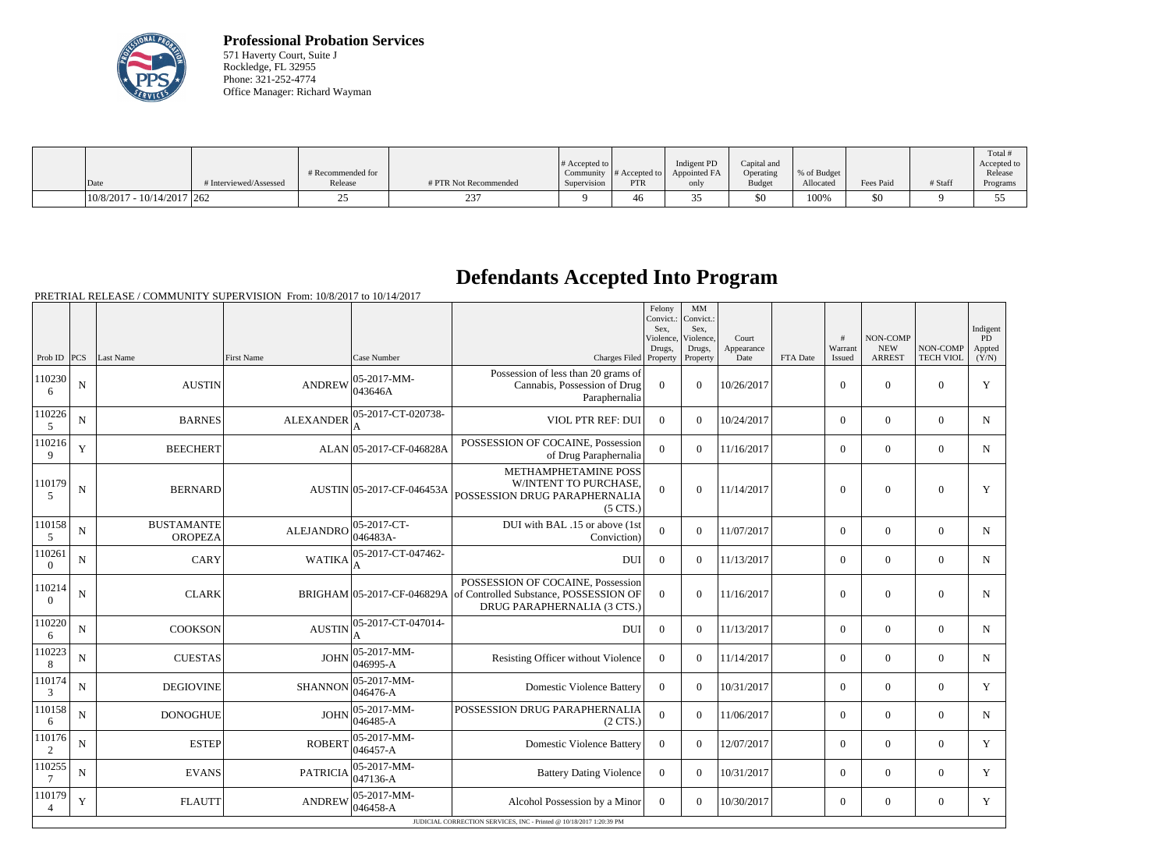

**Professional Probation Services** 571 Haverty Court, Suite J Rockledge, FL 32955 Phone: 321-252-4774 Office Manager: Richard Wayman

|      |                              |                        | # Recommended for |                       | # Accepted to $\vert$ |            | Indigent PD<br>Community $\ #$ Accepted to $\ $ Appointed FA | Capital and<br>Operating | % of Budget |           |         | Total<br>Accepted to<br>Release |
|------|------------------------------|------------------------|-------------------|-----------------------|-----------------------|------------|--------------------------------------------------------------|--------------------------|-------------|-----------|---------|---------------------------------|
| Date |                              | # Interviewed/Assessed | Release           | # PTR Not Recommended | Supervision           | <b>PTR</b> | only                                                         | <b>Budget</b>            | Allocated   | Fees Paid | # Staff | Programs                        |
|      | $10/8/2017 - 10/14/2017$ 262 |                        |                   |                       |                       | 46         |                                                              | \$0                      | 100%        | \$0       |         |                                 |

## **Defendants Accepted Into Program**

|                          |             |                                     |                  |                                 |                                                                                                                                       | Felony<br>Convict.:<br>Sex.<br>Violence | MM<br>Convict.:<br>Sex.<br>Violence. | Court              |          | #                 | <b>NON-COMP</b>             |                              | Indigent<br>PD  |
|--------------------------|-------------|-------------------------------------|------------------|---------------------------------|---------------------------------------------------------------------------------------------------------------------------------------|-----------------------------------------|--------------------------------------|--------------------|----------|-------------------|-----------------------------|------------------------------|-----------------|
| Prob ID $ PCS $          |             | Last Name                           | First Name       | Case Number                     | Charges Filed Property                                                                                                                | Drugs,                                  | Drugs,<br>Property                   | Appearance<br>Date | FTA Date | Warrant<br>Issued | <b>NEW</b><br><b>ARREST</b> | NON-COMP<br><b>TECH VIOL</b> | Appted<br>(Y/N) |
| 110230<br>6              | ${\bf N}$   | <b>AUSTIN</b>                       | <b>ANDREW</b>    | 05-2017-MM-<br>043646A          | Possession of less than 20 grams of<br>Cannabis, Possession of Drug<br>Paraphernalia                                                  | $\overline{0}$                          | $\overline{0}$                       | 10/26/2017         |          | $\boldsymbol{0}$  | $\overline{0}$              | $\overline{0}$               | Y               |
| 110226<br>5              | ${\bf N}$   | <b>BARNES</b>                       | <b>ALEXANDER</b> | 05-2017-CT-020738-              | VIOL PTR REF: DUI                                                                                                                     | $\Omega$                                | $\Omega$                             | 10/24/2017         |          | $\theta$          | $\mathbf{0}$                | $\boldsymbol{0}$             | $N_{\rm}$       |
| 110216                   | $\mathbf Y$ | <b>BEECHERT</b>                     |                  | ALAN 05-2017-CF-046828A         | POSSESSION OF COCAINE, Possession<br>of Drug Paraphernalia                                                                            | $\theta$                                | $\theta$                             | 11/16/2017         |          | $\overline{0}$    | $\boldsymbol{0}$            | $\boldsymbol{0}$             | $\mathbf N$     |
| 110179<br>5              | ${\bf N}$   | <b>BERNARD</b>                      |                  | AUSTIN 05-2017-CF-046453A       | METHAMPHETAMINE POSS<br>W/INTENT TO PURCHASE,<br>POSSESSION DRUG PARAPHERNALIA<br>$(5 \text{ CTS})$                                   | $\Omega$                                | $\theta$                             | 11/14/2017         |          | $\boldsymbol{0}$  | $\boldsymbol{0}$            | $\overline{0}$               | Y               |
| 110158<br>5              | ${\bf N}$   | <b>BUSTAMANTE</b><br><b>OROPEZA</b> | <b>ALEJANDRO</b> | $ 05-2017-CT-$<br>046483A-      | DUI with BAL .15 or above (1st<br>Conviction)                                                                                         | $\Omega$                                | $\Omega$                             | 11/07/2017         |          | $\theta$          | $\theta$                    | $\theta$                     | $N_{\rm}$       |
| 110261<br>$\theta$       | ${\bf N}$   | CARY                                | <b>WATIKA</b>    | 05-2017-CT-047462-              | <b>DUI</b>                                                                                                                            | $\overline{0}$                          | $\Omega$                             | 11/13/2017         |          | $\overline{0}$    | $\overline{0}$              | $\boldsymbol{0}$             | $N_{\rm}$       |
| 110214<br>$\Omega$       | ${\bf N}$   | <b>CLARK</b>                        |                  |                                 | POSSESSION OF COCAINE, Possession<br>BRIGHAM 05-2017-CF-046829A of Controlled Substance, POSSESSION OF<br>DRUG PARAPHERNALIA (3 CTS.) | $\overline{0}$                          | $\overline{0}$                       | 11/16/2017         |          | $\mathbf{0}$      | $\boldsymbol{0}$            | $\boldsymbol{0}$             | N               |
| 110220<br>6              | ${\bf N}$   | <b>COOKSON</b>                      | <b>AUSTIN</b>    | 05-2017-CT-047014-              | DUI                                                                                                                                   | $\Omega$                                | $\theta$                             | 11/13/2017         |          | $\theta$          | $\Omega$                    | $\theta$                     | $N_{\rm}$       |
| 110223<br>8              | ${\bf N}$   | <b>CUESTAS</b>                      | <b>JOHN</b>      | $ 05 - 2017 - MM -$<br>046995-A | Resisting Officer without Violence                                                                                                    | $\theta$                                | $\theta$                             | 11/14/2017         |          | $\theta$          | $\overline{0}$              | $\Omega$                     | N               |
| 110174<br>3              | ${\bf N}$   | <b>DEGIOVINE</b>                    | <b>SHANNON</b>   | $ 05-2017-MM-$<br>046476-A      | <b>Domestic Violence Battery</b>                                                                                                      | $\theta$                                | $\Omega$                             | 10/31/2017         |          | $\theta$          | $\theta$                    | $\theta$                     | Y               |
| 110158<br>6              | $\mathbf N$ | <b>DONOGHUE</b>                     | <b>JOHN</b>      | 05-2017-MM-<br>046485-A         | POSSESSION DRUG PARAPHERNALIA<br>$(2 \text{ CTS})$                                                                                    | $\overline{0}$                          | $\Omega$                             | 11/06/2017         |          | $\overline{0}$    | $\overline{0}$              | $\boldsymbol{0}$             | N               |
| 110176<br>$\overline{2}$ | ${\bf N}$   | <b>ESTEP</b>                        | <b>ROBERT</b>    | 05-2017-MM-<br>046457-A         | <b>Domestic Violence Battery</b>                                                                                                      | $\overline{0}$                          | $\theta$                             | 12/07/2017         |          | $\overline{0}$    | $\mathbf{0}$                | $\boldsymbol{0}$             | Y               |
| 110255<br>$\tau$         | ${\bf N}$   | <b>EVANS</b>                        | <b>PATRICIA</b>  | 05-2017-MM-<br>047136-A         | <b>Battery Dating Violence</b>                                                                                                        | $\overline{0}$                          | $\Omega$                             | 10/31/2017         |          | $\overline{0}$    | $\overline{0}$              | $\theta$                     | Y               |
| 110179<br>$\overline{4}$ | $\mathbf Y$ | <b>FLAUTT</b>                       | <b>ANDREW</b>    | $ 05-2017-MM-$<br>046458-A      | Alcohol Possession by a Minor                                                                                                         | $\overline{0}$                          | $\theta$                             | 10/30/2017         |          | $\theta$          | $\theta$                    | $\theta$                     | Y               |
|                          |             |                                     |                  |                                 | JUDICIAL CORRECTION SERVICES, INC - Printed @ 10/18/2017 1:20:39 PM                                                                   |                                         |                                      |                    |          |                   |                             |                              |                 |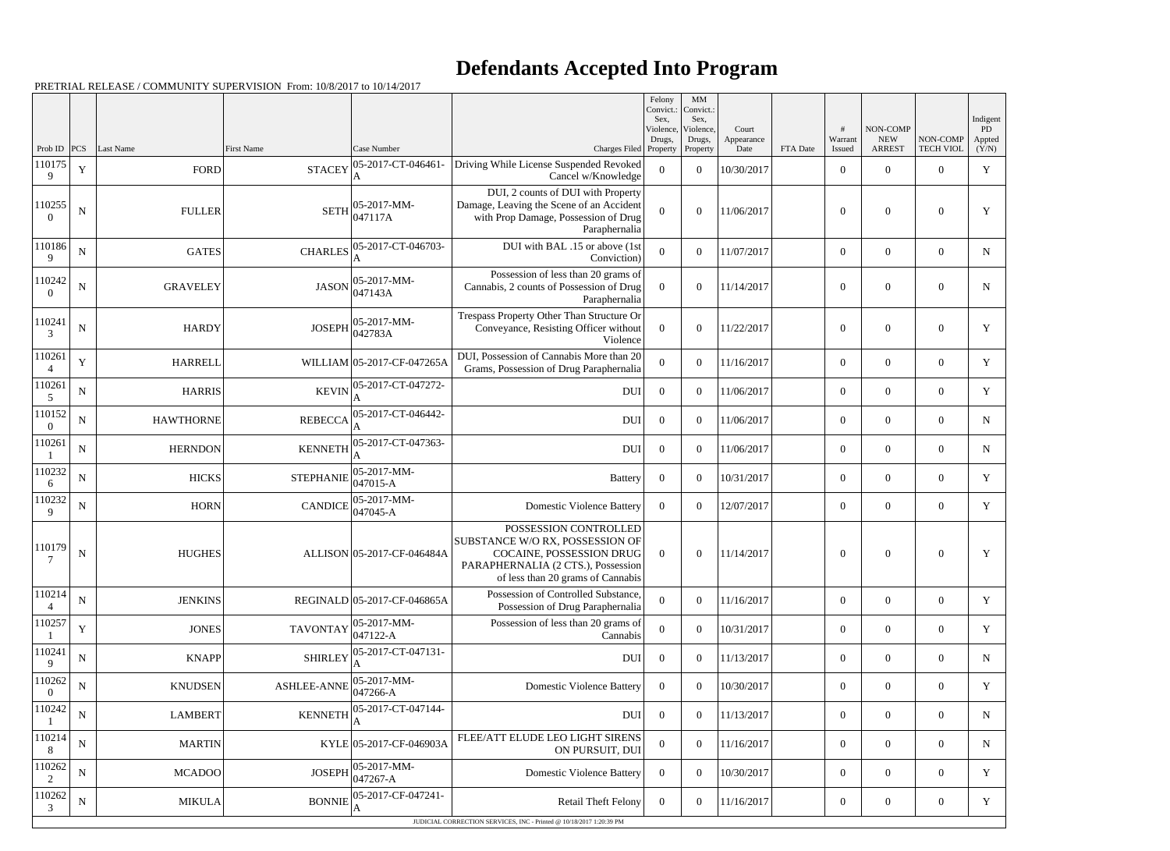## **Defendants Accepted Into Program**

|                           |             |                          |                                                                |                                   |                                                                                                                                                                 | Felony<br>Convict.:<br>Sex. | MM<br>Convict.:<br>Sex, |                     |          |                            |                                 |                                    | Indigent     |
|---------------------------|-------------|--------------------------|----------------------------------------------------------------|-----------------------------------|-----------------------------------------------------------------------------------------------------------------------------------------------------------------|-----------------------------|-------------------------|---------------------|----------|----------------------------|---------------------------------|------------------------------------|--------------|
|                           |             |                          |                                                                |                                   |                                                                                                                                                                 | Violence,<br>Drugs,         | Violence,<br>Drugs,     | Court<br>Appearance |          | #<br>Warrant               | NON-COMP<br><b>NEW</b>          | NON-COMP                           | PD<br>Appted |
| Prob ID $ PCS $<br>110175 | $\mathbf Y$ | Last Name<br><b>FORD</b> | <b>First Name</b><br><b>STACEY</b>                             | Case Number<br>05-2017-CT-046461- | Charges Filed Property<br>Driving While License Suspended Revoked                                                                                               | $\overline{0}$              | Property<br>$\theta$    | Date<br>10/30/2017  | FTA Date | Issued<br>$\boldsymbol{0}$ | <b>ARREST</b><br>$\overline{0}$ | <b>TECH VIOL</b><br>$\overline{0}$ | (Y/N)<br>Y   |
| 9                         |             |                          |                                                                | A                                 | Cancel w/Knowledge<br>DUI, 2 counts of DUI with Property                                                                                                        |                             |                         |                     |          |                            |                                 |                                    |              |
| 110255<br>$\Omega$        | ${\bf N}$   | <b>FULLER</b>            | <b>SETH</b>                                                    | $ 05-2017-MM-$<br>047117A         | Damage, Leaving the Scene of an Accident<br>with Prop Damage, Possession of Drug<br>Paraphernalia                                                               | $\Omega$                    | $\overline{0}$          | 11/06/2017          |          | $\overline{0}$             | $\overline{0}$                  | $\boldsymbol{0}$                   | Y            |
| 110186<br>9               | ${\bf N}$   | <b>GATES</b>             | <b>CHARLES</b>                                                 | 05-2017-CT-046703-<br>A           | DUI with BAL .15 or above (1st<br>Conviction)                                                                                                                   | $\Omega$                    | $\boldsymbol{0}$        | 11/07/2017          |          | $\boldsymbol{0}$           | $\overline{0}$                  | $\overline{0}$                     | $\mathbf N$  |
| 110242<br>$\Omega$        | ${\bf N}$   | <b>GRAVELEY</b>          | <b>JASON</b>                                                   | $ 05-2017-MM-$<br>047143A         | Possession of less than 20 grams of<br>Cannabis, 2 counts of Possession of Drug<br>Paraphernalia                                                                | $\Omega$                    | $\overline{0}$          | 11/14/2017          |          | $\boldsymbol{0}$           | $\overline{0}$                  | $\boldsymbol{0}$                   | N            |
| 110241<br>3               | ${\bf N}$   | <b>HARDY</b>             | <b>JOSEPH</b>                                                  | $ 05-2017-MM-$<br>042783A         | Trespass Property Other Than Structure Or<br>Conveyance, Resisting Officer without<br>Violence                                                                  | $\overline{0}$              | $\overline{0}$          | 11/22/2017          |          | $\boldsymbol{0}$           | $\boldsymbol{0}$                | $\overline{0}$                     | Y            |
| 110261                    | $\mathbf Y$ | <b>HARRELL</b>           |                                                                | WILLIAM 05-2017-CF-047265A        | DUI, Possession of Cannabis More than 20<br>Grams, Possession of Drug Paraphernalia                                                                             | $\Omega$                    | $\theta$                | 11/16/2017          |          | $\overline{0}$             | $\overline{0}$                  | $\overline{0}$                     | Y            |
| 110261<br>5               | ${\bf N}$   | <b>HARRIS</b>            | <b>KEVIN</b>                                                   | 05-2017-CT-047272-                | <b>DUI</b>                                                                                                                                                      | $\overline{0}$              | $\theta$                | 11/06/2017          |          | $\overline{0}$             | $\overline{0}$                  | $\overline{0}$                     | Y            |
| 110152<br>$\Omega$        | ${\bf N}$   | <b>HAWTHORNE</b>         | <b>REBECCA</b>                                                 | 05-2017-CT-046442-                | <b>DUI</b>                                                                                                                                                      | $\overline{0}$              | $\overline{0}$          | 11/06/2017          |          | $\overline{0}$             | $\overline{0}$                  | $\overline{0}$                     | $N_{\rm}$    |
| 110261                    | ${\bf N}$   | <b>HERNDON</b>           | <b>KENNETH</b>                                                 | 05-2017-CT-047363-                | <b>DUI</b>                                                                                                                                                      | $\overline{0}$              | $\theta$                | 11/06/2017          |          | $\overline{0}$             | $\overline{0}$                  | $\overline{0}$                     | N            |
| 110232<br>6               | ${\bf N}$   | <b>HICKS</b>             | <b>STEPHANIE</b>                                               | $ 05-2017-MM-$<br>$ 047015-A$     | Battery                                                                                                                                                         | $\overline{0}$              | $\theta$                | 10/31/2017          |          | $\overline{0}$             | $\overline{0}$                  | $\overline{0}$                     | Y            |
| 110232<br>9               | ${\bf N}$   | <b>HORN</b>              | CANDICE $\begin{bmatrix} 0 & 2 \\ 0 & 47045 - A \end{bmatrix}$ | $ 05-2017-MM-$                    | <b>Domestic Violence Battery</b>                                                                                                                                | $\overline{0}$              | $\theta$                | 12/07/2017          |          | $\mathbf{0}$               | $\overline{0}$                  | $\overline{0}$                     | Y            |
| 110179<br>$\tau$          | ${\bf N}$   | <b>HUGHES</b>            |                                                                | ALLISON 05-2017-CF-046484A        | POSSESSION CONTROLLED<br>SUBSTANCE W/O RX, POSSESSION OF<br>COCAINE, POSSESSION DRUG<br>PARAPHERNALIA (2 CTS.), Possession<br>of less than 20 grams of Cannabis | $\overline{0}$              | $\boldsymbol{0}$        | 11/14/2017          |          | $\boldsymbol{0}$           | $\overline{0}$                  | $\theta$                           | Y            |
| 110214                    | ${\bf N}$   | <b>JENKINS</b>           |                                                                | REGINALD 05-2017-CF-046865A       | Possession of Controlled Substance,<br>Possession of Drug Paraphernalia                                                                                         | $\Omega$                    | $\boldsymbol{0}$        | 11/16/2017          |          | $\boldsymbol{0}$           | $\boldsymbol{0}$                | $\overline{0}$                     | Y            |
| 110257                    | $\mathbf Y$ | <b>JONES</b>             | <b>TAVONTAY</b>                                                | 05-2017-MM-<br>$047122 - A$       | Possession of less than 20 grams of<br>Cannabis                                                                                                                 | $\overline{0}$              | $\boldsymbol{0}$        | 10/31/2017          |          | $\boldsymbol{0}$           | $\boldsymbol{0}$                | $\overline{0}$                     | Y            |
| 110241<br>9               | ${\bf N}$   | <b>KNAPP</b>             | <b>SHIRLEY</b>                                                 | 05-2017-CT-047131-                | <b>DUI</b>                                                                                                                                                      | $\overline{0}$              | $\overline{0}$          | 11/13/2017          |          | $\overline{0}$             | $\boldsymbol{0}$                | $\overline{0}$                     | $N_{\odot}$  |
| 110262<br>$\Omega$        | ${\bf N}$   | <b>KNUDSEN</b>           | <b>ASHLEE-ANNE</b>                                             | 05-2017-MM-<br>047266-A           | <b>Domestic Violence Battery</b>                                                                                                                                | $\Omega$                    | $\theta$                | 10/30/2017          |          | $\boldsymbol{0}$           | $\overline{0}$                  | $\overline{0}$                     | Y            |
| 110242                    | ${\bf N}$   | <b>LAMBERT</b>           | <b>KENNETH</b>                                                 | 05-2017-CT-047144-                | <b>DUI</b>                                                                                                                                                      | $\overline{0}$              | $\boldsymbol{0}$        | 11/13/2017          |          | $\boldsymbol{0}$           | $\boldsymbol{0}$                | $\overline{0}$                     | N            |
| 110214<br>8               | ${\bf N}$   | <b>MARTIN</b>            |                                                                | KYLE 05-2017-CF-046903A           | FLEE/ATT ELUDE LEO LIGHT SIRENS<br>ON PURSUIT, DUI                                                                                                              | $\overline{0}$              | $\mathbf{0}$            | 11/16/2017          |          | $\boldsymbol{0}$           | $\boldsymbol{0}$                | $\overline{0}$                     | $N_{\rm}$    |
| 110262<br>2               | ${\bf N}$   | <b>MCADOO</b>            | <b>JOSEPH</b>                                                  | 05-2017-MM-<br>$047267 - A$       | <b>Domestic Violence Battery</b>                                                                                                                                | $\Omega$                    | $\overline{0}$          | 10/30/2017          |          | $\overline{0}$             | $\overline{0}$                  | $\overline{0}$                     | Y            |
| 110262<br>3               | ${\bf N}$   | <b>MIKULA</b>            | <b>BONNIE</b>                                                  | 05-2017-CF-047241-<br>A           | <b>Retail Theft Felony</b>                                                                                                                                      | $\overline{0}$              | $\boldsymbol{0}$        | 11/16/2017          |          | $\boldsymbol{0}$           | $\boldsymbol{0}$                | $\overline{0}$                     | Y            |
|                           |             |                          |                                                                |                                   | JUDICIAL CORRECTION SERVICES, INC - Printed @ 10/18/2017 1:20:39 PM                                                                                             |                             |                         |                     |          |                            |                                 |                                    |              |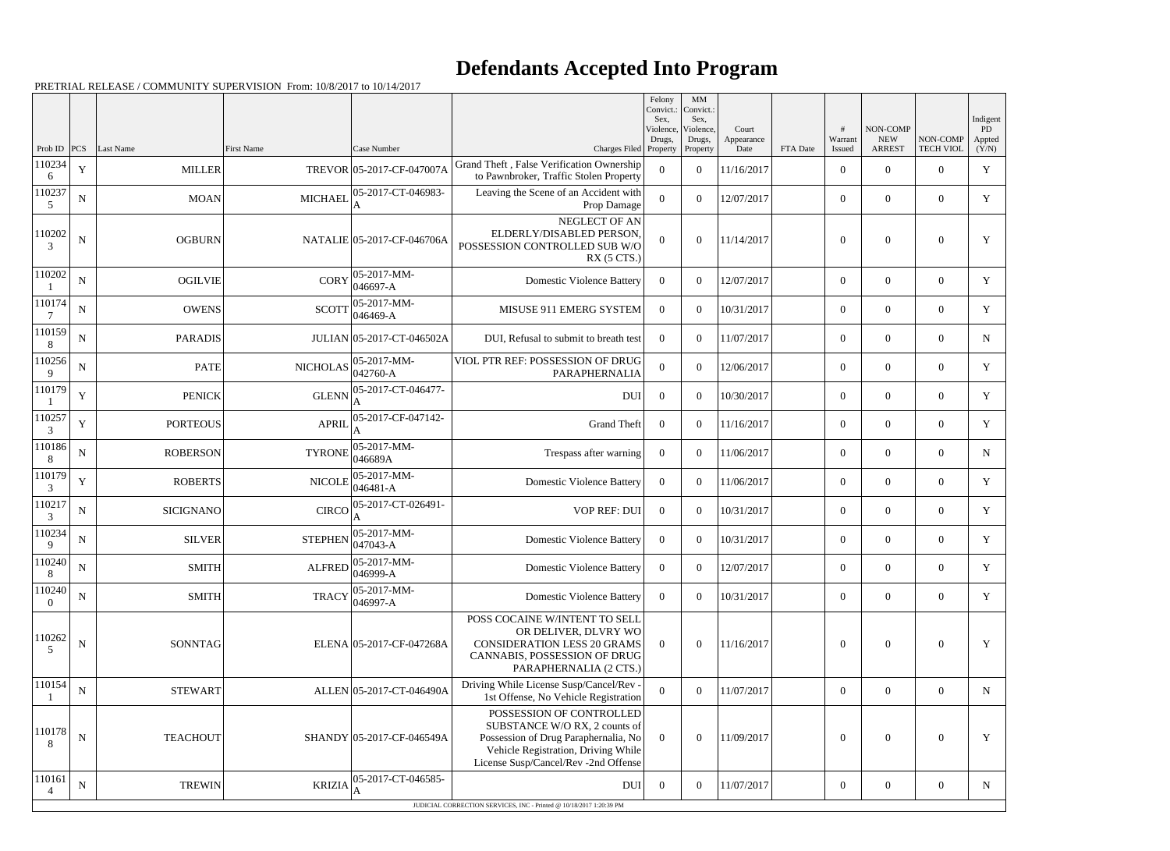## **Defendants Accepted Into Program**

|                    |             |                 |                   |                                               |                                                                                                                                                                                  | Felony<br>Convict.:<br>Sex. | MM<br>Convict.:<br>Sex,         |                             |          |                        |                                         |                              | Indigent                |
|--------------------|-------------|-----------------|-------------------|-----------------------------------------------|----------------------------------------------------------------------------------------------------------------------------------------------------------------------------------|-----------------------------|---------------------------------|-----------------------------|----------|------------------------|-----------------------------------------|------------------------------|-------------------------|
| Prob ID            | PCS         | Last Name       | <b>First Name</b> | Case Number                                   | Charges Filed Property                                                                                                                                                           | Violence,<br>Drugs,         | Violence.<br>Drugs,<br>Property | Court<br>Appearance<br>Date | FTA Date | #<br>Warrant<br>Issued | NON-COMP<br><b>NEW</b><br><b>ARREST</b> | NON-COMP<br><b>TECH VIOL</b> | PD -<br>Appted<br>(Y/N) |
| 110234<br>6        | $\mathbf Y$ | <b>MILLER</b>   |                   | TREVOR 05-2017-CF-047007A                     | Grand Theft, False Verification Ownership<br>to Pawnbroker, Traffic Stolen Property                                                                                              | $\theta$                    | $\theta$                        | 11/16/2017                  |          | $\overline{0}$         | $\overline{0}$                          | $\overline{0}$               | Y                       |
| 110237<br>5        | ${\bf N}$   | MOAN            | <b>MICHAEL</b>    | 05-2017-CT-046983-                            | Leaving the Scene of an Accident with<br>Prop Damage                                                                                                                             | $\Omega$                    | $\theta$                        | 12/07/2017                  |          | $\overline{0}$         | $\overline{0}$                          | $\overline{0}$               | Y                       |
| 110202<br>3        | ${\bf N}$   | <b>OGBURN</b>   |                   | NATALIE 05-2017-CF-046706A                    | NEGLECT OF AN<br>ELDERLY/DISABLED PERSON<br>POSSESSION CONTROLLED SUB W/O<br>$RX$ (5 CTS.)                                                                                       | $\Omega$                    | $\theta$                        | 11/14/2017                  |          | $\overline{0}$         | $\overline{0}$                          | $\overline{0}$               | Y                       |
| 110202             | ${\bf N}$   | <b>OGILVIE</b>  | <b>CORY</b>       | 05-2017-MM-<br>046697-A                       | <b>Domestic Violence Battery</b>                                                                                                                                                 | $\Omega$                    | $\theta$                        | 12/07/2017                  |          | $\overline{0}$         | $\overline{0}$                          | $\overline{0}$               | Y                       |
| 110174             | $\mathbf N$ | <b>OWENS</b>    | <b>SCOTT</b>      | 05-2017-MM-<br>046469-A                       | MISUSE 911 EMERG SYSTEM                                                                                                                                                          | $\Omega$                    | $\theta$                        | 10/31/2017                  |          | $\overline{0}$         | $\overline{0}$                          | $\overline{0}$               | Y                       |
| 110159             | $\mathbf N$ | <b>PARADIS</b>  |                   | JULIAN 05-2017-CT-046502A                     | DUI, Refusal to submit to breath test                                                                                                                                            | $\Omega$                    | $\theta$                        | 11/07/2017                  |          | $\overline{0}$         | $\overline{0}$                          | $\overline{0}$               | N                       |
| 110256<br>9        | $\mathbf N$ | <b>PATE</b>     | <b>NICHOLAS</b>   | 05-2017-MM-<br>042760-A                       | VIOL PTR REF: POSSESSION OF DRUG<br>PARAPHERNALIA                                                                                                                                | $\overline{0}$              | $\theta$                        | 12/06/2017                  |          | $\overline{0}$         | $\overline{0}$                          | $\overline{0}$               | Y                       |
| 110179             | Y           | <b>PENICK</b>   | <b>GLENN</b>      | 05-2017-CT-046477-                            | <b>DUI</b>                                                                                                                                                                       | $\overline{0}$              | $\theta$                        | 10/30/2017                  |          | $\overline{0}$         | $\overline{0}$                          | $\overline{0}$               | Y                       |
| 110257<br>3        | $\mathbf Y$ | <b>PORTEOUS</b> | <b>APRIL</b>      | 05-2017-CF-047142-                            | <b>Grand Theft</b>                                                                                                                                                               | $\overline{0}$              | $\theta$                        | 11/16/2017                  |          | $\boldsymbol{0}$       | $\overline{0}$                          | $\overline{0}$               | Y                       |
| 110186<br>8        | $\mathbf N$ | <b>ROBERSON</b> | <b>TYRONE</b>     | 05-2017-MM-<br>046689A                        | Trespass after warning                                                                                                                                                           | $\Omega$                    | $\theta$                        | 11/06/2017                  |          | $\overline{0}$         | $\overline{0}$                          | $\overline{0}$               | N                       |
| 110179<br>3        | $\mathbf Y$ | <b>ROBERTS</b>  | <b>NICOLE</b>     | 05-2017-MM-<br>046481-A                       | <b>Domestic Violence Battery</b>                                                                                                                                                 | $\overline{0}$              | $\theta$                        | 11/06/2017                  |          | $\overline{0}$         | $\overline{0}$                          | $\overline{0}$               | Y                       |
| 110217<br>3        | $\mathbf N$ | SICIGNANO       | <b>CIRCO</b>      | 05-2017-CT-026491-                            | <b>VOP REF: DUI</b>                                                                                                                                                              | $\theta$                    | $\overline{0}$                  | 10/31/2017                  |          | $\overline{0}$         | $\boldsymbol{0}$                        | $\overline{0}$               | Y                       |
| 110234<br>9        | $\mathbf N$ | <b>SILVER</b>   | <b>STEPHEN</b>    | 05-2017-MM-<br>047043-A                       | <b>Domestic Violence Battery</b>                                                                                                                                                 | $\overline{0}$              | $\theta$                        | 10/31/2017                  |          | $\boldsymbol{0}$       | $\overline{0}$                          | $\overline{0}$               | Y                       |
| 110240<br>8        | ${\bf N}$   | <b>SMITH</b>    |                   | $ALFRED$ $\Big  05 - 2017 - MM -$<br>046999-A | Domestic Violence Battery                                                                                                                                                        | $\overline{0}$              | $\theta$                        | 12/07/2017                  |          | $\overline{0}$         | $\overline{0}$                          | $\overline{0}$               | Y                       |
| 110240<br>$\Omega$ | $\mathbf N$ | <b>SMITH</b>    | <b>TRACY</b>      | 05-2017-MM-<br>046997-A                       | <b>Domestic Violence Battery</b>                                                                                                                                                 | $\overline{0}$              | $\overline{0}$                  | 10/31/2017                  |          | $\overline{0}$         | $\overline{0}$                          | $\overline{0}$               | Y                       |
| 110262<br>5        | ${\bf N}$   | <b>SONNTAG</b>  |                   | ELENA 05-2017-CF-047268A                      | POSS COCAINE W/INTENT TO SELL<br>OR DELIVER, DLVRY WO<br><b>CONSIDERATION LESS 20 GRAMS</b><br>CANNABIS, POSSESSION OF DRUG<br>PARAPHERNALIA (2 CTS.)                            | $\Omega$                    | $\mathbf{0}$                    | 11/16/2017                  |          | $\mathbf{0}$           | $\boldsymbol{0}$                        | $\boldsymbol{0}$             | Y                       |
| 110154             | $\mathbf N$ | <b>STEWART</b>  |                   | ALLEN 05-2017-CT-046490A                      | Driving While License Susp/Cancel/Rev -<br>1st Offense, No Vehicle Registration                                                                                                  | $\Omega$                    | $\overline{0}$                  | 11/07/2017                  |          | $\overline{0}$         | $\boldsymbol{0}$                        | $\overline{0}$               | N                       |
| 110178<br>8        | $\mathbf N$ | <b>TEACHOUT</b> |                   | SHANDY 05-2017-CF-046549A                     | POSSESSION OF CONTROLLED<br>SUBSTANCE W/O RX, 2 counts of<br>Possession of Drug Paraphernalia, No<br>Vehicle Registration, Driving While<br>License Susp/Cancel/Rev -2nd Offense | $\overline{0}$              | $\boldsymbol{0}$                | 11/09/2017                  |          | $\boldsymbol{0}$       | $\boldsymbol{0}$                        | $\overline{0}$               | Y                       |
| 110161             | $\mathbf N$ | <b>TREWIN</b>   | <b>KRIZIA</b>     | 05-2017-CT-046585-                            | DUI                                                                                                                                                                              | $\overline{0}$              | $\overline{0}$                  | 11/07/2017                  |          | $\mathbf{0}$           | $\boldsymbol{0}$                        | $\overline{0}$               | $N_{\rm}$               |
|                    |             |                 |                   |                                               | JUDICIAL CORRECTION SERVICES, INC - Printed @ 10/18/2017 1:20:39 PM                                                                                                              |                             |                                 |                             |          |                        |                                         |                              |                         |